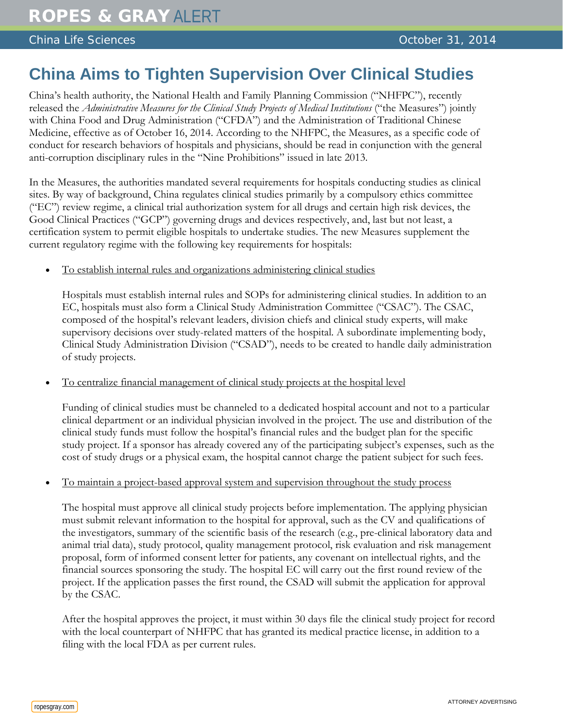## China Life Sciences **October 31, 2014**

## **China Aims to Tighten Supervision Over Clinical Studies**

China's health authority, the National Health and Family Planning Commission ("NHFPC"), recently released the *Administrative Measures for the Clinical Study Projects of Medical Institutions* ("the Measures") jointly with China Food and Drug Administration ("CFDA") and the Administration of Traditional Chinese Medicine, effective as of October 16, 2014. According to the NHFPC, the Measures, as a specific code of conduct for research behaviors of hospitals and physicians, should be read in conjunction with the general anti-corruption disciplinary rules in the "Nine Prohibitions" issued in late 2013.

In the Measures, the authorities mandated several requirements for hospitals conducting studies as clinical sites. By way of background, China regulates clinical studies primarily by a compulsory ethics committee ("EC") review regime, a clinical trial authorization system for all drugs and certain high risk devices, the Good Clinical Practices ("GCP") governing drugs and devices respectively, and, last but not least, a certification system to permit eligible hospitals to undertake studies. The new Measures supplement the current regulatory regime with the following key requirements for hospitals:

• To establish internal rules and organizations administering clinical studies

Hospitals must establish internal rules and SOPs for administering clinical studies. In addition to an EC, hospitals must also form a Clinical Study Administration Committee ("CSAC"). The CSAC, composed of the hospital's relevant leaders, division chiefs and clinical study experts, will make supervisory decisions over study-related matters of the hospital. A subordinate implementing body, Clinical Study Administration Division ("CSAD"), needs to be created to handle daily administration of study projects.

• To centralize financial management of clinical study projects at the hospital level

Funding of clinical studies must be channeled to a dedicated hospital account and not to a particular clinical department or an individual physician involved in the project. The use and distribution of the clinical study funds must follow the hospital's financial rules and the budget plan for the specific study project. If a sponsor has already covered any of the participating subject's expenses, such as the cost of study drugs or a physical exam, the hospital cannot charge the patient subject for such fees.

• To maintain a project-based approval system and supervision throughout the study process

The hospital must approve all clinical study projects before implementation. The applying physician must submit relevant information to the hospital for approval, such as the CV and qualifications of the investigators, summary of the scientific basis of the research (e.g., pre-clinical laboratory data and animal trial data), study protocol, quality management protocol, risk evaluation and risk management proposal, form of informed consent letter for patients, any covenant on intellectual rights, and the financial sources sponsoring the study. The hospital EC will carry out the first round review of the project. If the application passes the first round, the CSAD will submit the application for approval by the CSAC.

After the hospital approves the project, it must within 30 days file the clinical study project for record with the local counterpart of NHFPC that has granted its medical practice license, in addition to a filing with the local FDA as per current rules.